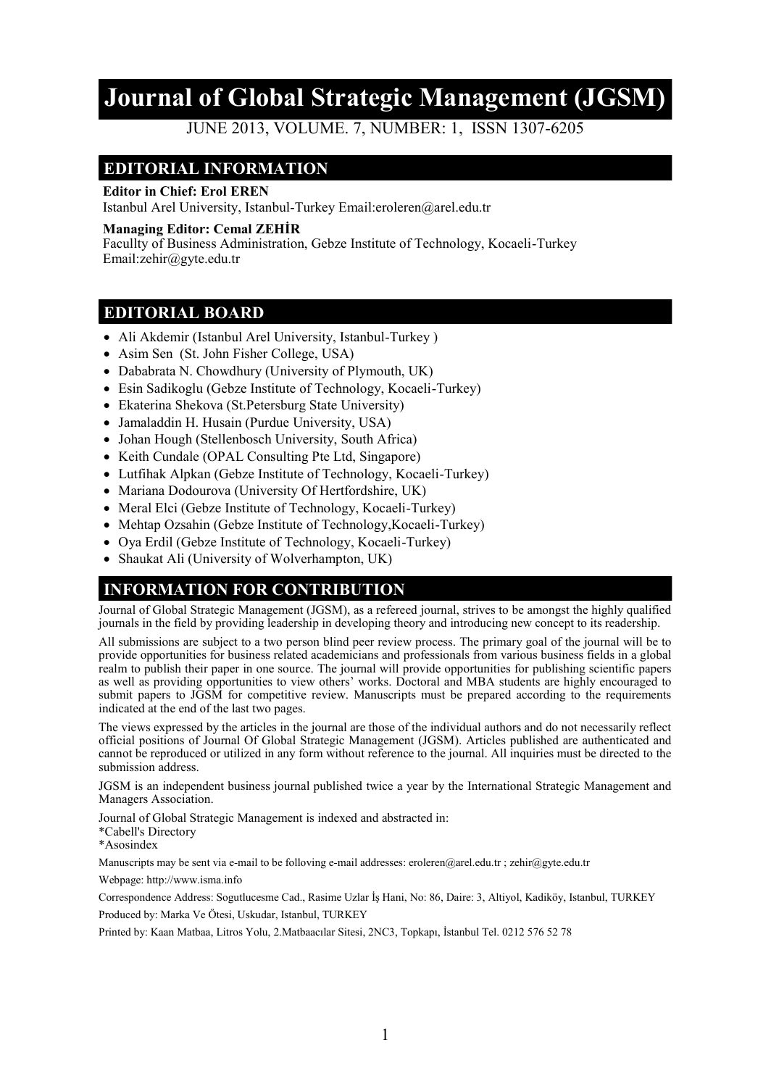# **Journal of Global Strategic Management (JGSM)**

JUNE 2013, VOLUME. 7, NUMBER: 1, ISSN 1307-6205

## **EDITORIAL INFORMATION**

#### **Editor in Chief: Erol EREN**

Istanbul Arel University, Istanbul-Turkey Email:eroleren@arel.edu.tr

#### **Managing Editor: Cemal ZEHİR**

Facullty of Business Administration, Gebze Institute of Technology, Kocaeli-Turkey Email:zehir@gyte.edu.tr

### **EDITORIAL BOARD**

- Ali Akdemir (Istanbul Arel University, Istanbul-Turkey )
- Asim Sen (St. John Fisher College, USA)
- Dababrata N. Chowdhury (University of Plymouth, UK)
- Esin Sadikoglu (Gebze Institute of Technology, Kocaeli-Turkey)
- Ekaterina Shekova (St. Petersburg State University)
- Jamaladdin H. Husain (Purdue University, USA)
- Johan Hough (Stellenbosch University, South Africa)
- Keith Cundale (OPAL Consulting Pte Ltd, Singapore)
- Lutfihak Alpkan (Gebze Institute of Technology, Kocaeli-Turkey)
- Mariana Dodourova (University Of Hertfordshire, UK)
- Meral Elci (Gebze Institute of Technology, Kocaeli-Turkey)
- Mehtap Ozsahin (Gebze Institute of Technology, Kocaeli-Turkey)
- Oya Erdil (Gebze Institute of Technology, Kocaeli-Turkey)
- Shaukat Ali (University of Wolverhampton, UK)

# **INFORMATION FOR CONTRIBUTION**

Journal of Global Strategic Management (JGSM), as a refereed journal, strives to be amongst the highly qualified journals in the field by providing leadership in developing theory and introducing new concept to its readership.

All submissions are subject to a two person blind peer review process. The primary goal of the journal will be to provide opportunities for business related academicians and professionals from various business fields in a global realm to publish their paper in one source. The journal will provide opportunities for publishing scientific papers as well as providing opportunities to view others' works. Doctoral and MBA students are highly encouraged to submit papers to JGSM for competitive review. Manuscripts must be prepared according to the requirements indicated at the end of the last two pages.

The views expressed by the articles in the journal are those of the individual authors and do not necessarily reflect official positions of Journal Of Global Strategic Management (JGSM). Articles published are authenticated and cannot be reproduced or utilized in any form without reference to the journal. All inquiries must be directed to the submission address.

JGSM is an independent business journal published twice a year by the International Strategic Management and Managers Association.

Journal of Global Strategic Management is indexed and abstracted in: \*Cabell's Directory

\*Asosindex

Manuscripts may be sent via e-mail to be folloving e-mail addresses: eroleren@arel.edu.tr ; zehir@gyte.edu.tr

Webpage: http://www.isma.info

Correspondence Address: Sogutlucesme Cad., Rasime Uzlar İş Hani, No: 86, Daire: 3, Altiyol, Kadiköy, Istanbul, TURKEY Produced by: Marka Ve Ötesi, Uskudar, Istanbul, TURKEY

Printed by: Kaan Matbaa, Litros Yolu, 2.Matbaacılar Sitesi, 2NC3, Topkapı, İstanbul Tel. 0212 576 52 78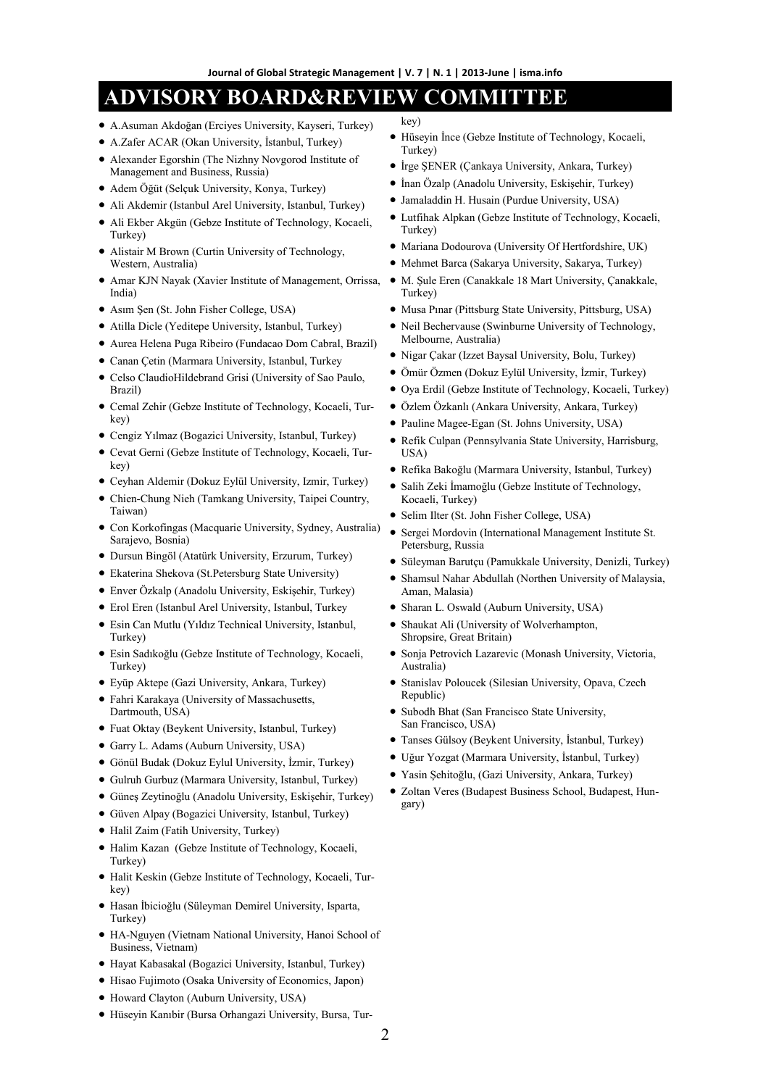# **ADVISORY BOARD&REVIEW COMMITTEE**

- A.Asuman Akdoğan (Erciyes University, Kayseri, Turkey)
- A.Zafer ACAR (Okan University, İstanbul, Turkey)
- Alexander Egorshin (The Nizhny Novgorod Institute of Management and Business, Russia)
- Adem Öğüt (Selçuk University, Konya, Turkey)
- Ali Akdemir (Istanbul Arel University, Istanbul, Turkey)
- Ali Ekber Akgün (Gebze Institute of Technology, Kocaeli, Turkey)
- Alistair M Brown (Curtin University of Technology, Western, Australia)
- Amar KJN Nayak (Xavier Institute of Management, Orrissa, India)
- Asım Şen (St. John Fisher College, USA)
- Atilla Dicle (Yeditepe University, Istanbul, Turkey)
- Aurea Helena Puga Ribeiro (Fundacao Dom Cabral, Brazil)
- Canan Çetin (Marmara University, Istanbul, Turkey
- Celso ClaudioHildebrand Grisi (University of Sao Paulo, Brazil)
- Cemal Zehir (Gebze Institute of Technology, Kocaeli, Turkey)
- Cengiz Yılmaz (Bogazici University, Istanbul, Turkey)
- Cevat Gerni (Gebze Institute of Technology, Kocaeli, Turkey)
- Ceyhan Aldemir (Dokuz Eylül University, Izmir, Turkey)
- Chien-Chung Nieh (Tamkang University, Taipei Country, Taiwan)
- Con Korkofingas (Macquarie University, Sydney, Australia) Sarajevo, Bosnia)
- Dursun Bingöl (Atatürk University, Erzurum, Turkey)
- Ekaterina Shekova (St.Petersburg State University)
- Enver Özkalp (Anadolu University, Eskişehir, Turkey)
- Erol Eren (Istanbul Arel University, Istanbul, Turkey
- Esin Can Mutlu (Yıldız Technical University, Istanbul, Turkey)
- Esin Sadıkoğlu (Gebze Institute of Technology, Kocaeli, Turkey)
- Eyüp Aktepe (Gazi University, Ankara, Turkey)
- Fahri Karakaya (University of Massachusetts, Dartmouth, USA)
- Fuat Oktay (Beykent University, Istanbul, Turkey)
- Garry L. Adams (Auburn University, USA)
- Gönül Budak (Dokuz Eylul University, İzmir, Turkey)
- Gulruh Gurbuz (Marmara University, Istanbul, Turkey)
- Güneş Zeytinoğlu (Anadolu University, Eskişehir, Turkey)
- Güven Alpay (Bogazici University, Istanbul, Turkey)
- Halil Zaim (Fatih University, Turkey)
- Halim Kazan (Gebze Institute of Technology, Kocaeli, Turkey)
- Halit Keskin (Gebze Institute of Technology, Kocaeli, Turkey)
- Hasan İbicioğlu (Süleyman Demirel University, Isparta, Turkey)
- HA-Nguyen (Vietnam National University, Hanoi School of Business, Vietnam)
- Hayat Kabasakal (Bogazici University, Istanbul, Turkey)
- $\bullet$  Hisao Fujimoto (Osaka University of Economics, Japon)
- Howard Clayton (Auburn University, USA)
- Hüseyin Kanıbir (Bursa Orhangazi University, Bursa, Tur-
- key)
- Hüseyin İnce (Gebze Institute of Technology, Kocaeli, Turkey)
- İrge ŞENER (Çankaya University, Ankara, Turkey)
- İnan Özalp (Anadolu University, Eskişehir, Turkey)
- Jamaladdin H. Husain (Purdue University, USA)
- Lutfihak Alpkan (Gebze Institute of Technology, Kocaeli, Turkey)
- Mariana Dodourova (University Of Hertfordshire, UK)
- Mehmet Barca (Sakarya University, Sakarya, Turkey)
- $\bullet$  M. Sule Eren (Canakkale 18 Mart University, Canakkale, Turkey)
- Musa Pınar (Pittsburg State University, Pittsburg, USA)
- Neil Bechervause (Swinburne University of Technology, Melbourne, Australia)
- Nigar Çakar (Izzet Baysal University, Bolu, Turkey)
- Ömür Özmen (Dokuz Eylül University, İzmir, Turkey)
- Oya Erdil (Gebze Institute of Technology, Kocaeli, Turkey)
- Özlem Özkanlı (Ankara University, Ankara, Turkey)
- Pauline Magee-Egan (St. Johns University, USA)
- Refik Culpan (Pennsylvania State University, Harrisburg, USA)
- Refika Bakoğlu (Marmara University, Istanbul, Turkey)
- Salih Zeki İmamoğlu (Gebze Institute of Technology, Kocaeli, Turkey)
- Selim Ilter (St. John Fisher College, USA)
- Sergei Mordovin (International Management Institute St. Petersburg, Russia
- Süleyman Barutçu (Pamukkale University, Denizli, Turkey)
- Shamsul Nahar Abdullah (Northen University of Malaysia, Aman, Malasia)
- Sharan L. Oswald (Auburn University, USA)
- Shaukat Ali (University of Wolverhampton, Shropsire, Great Britain)
- Sonja Petrovich Lazarevic (Monash University, Victoria, Australia)
- Stanislav Poloucek (Silesian University, Opava, Czech Republic)
- Subodh Bhat (San Francisco State University, San Francisco, USA)
- Tanses Gülsoy (Beykent University, İstanbul, Turkey)
- Uğur Yozgat (Marmara University, İstanbul, Turkey)
- Yasin Şehitoğlu, (Gazi University, Ankara, Turkey)
- Zoltan Veres (Budapest Business School, Budapest, Hungary)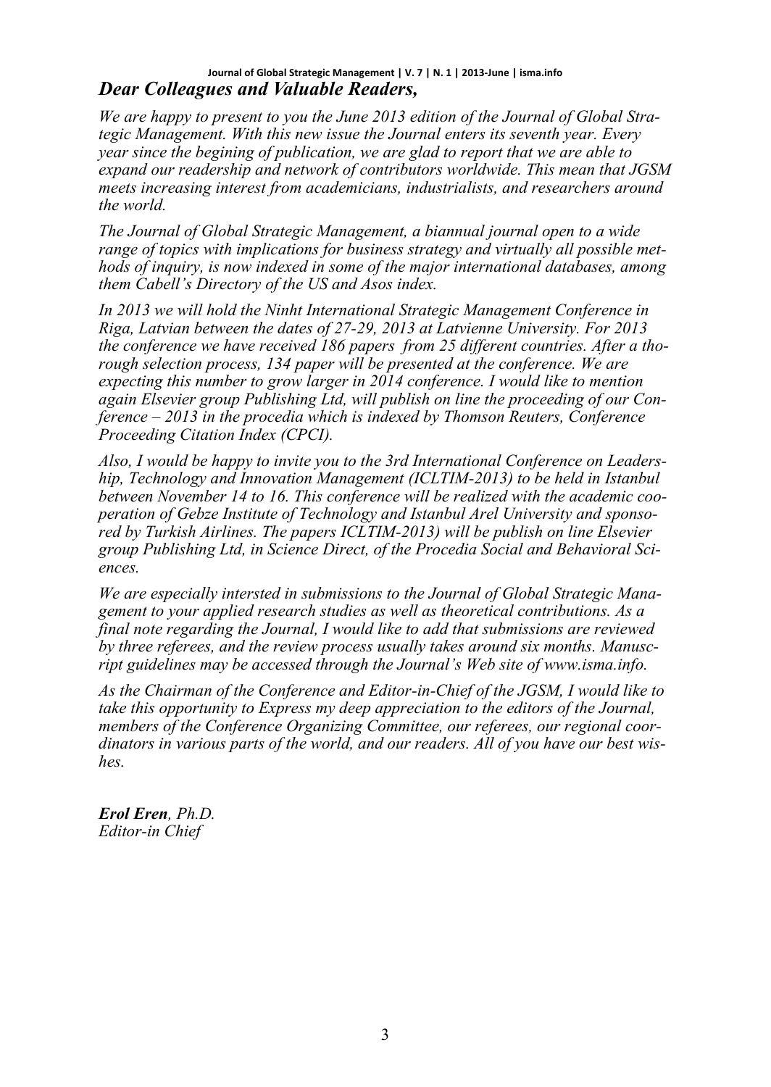#### *Dear Colleagues and Valuable Readers,* **Journal of Global Strategic Management | V. 7 | N. 1 | 2013-June | isma.info**

*We are happy to present to you the June 2013 edition of the Journal of Global Strategic Management. With this new issue the Journal enters its seventh year. Every year since the begining of publication, we are glad to report that we are able to expand our readership and network of contributors worldwide. This mean that JGSM meets increasing interest from academicians, industrialists, and researchers around the world.*

*The Journal of Global Strategic Management, a biannual journal open to a wide range of topics with implications for business strategy and virtually all possible methods of inquiry, is now indexed in some of the major international databases, among them Cabell's Directory of the US and Asos index.* 

*In 2013 we will hold the Ninht International Strategic Management Conference in Riga, Latvian between the dates of 27-29, 2013 at Latvienne University. For 2013 the conference we have received 186 papers from 25 different countries. After a thorough selection process, 134 paper will be presented at the conference. We are expecting this number to grow larger in 2014 conference. I would like to mention again Elsevier group Publishing Ltd, will publish on line the proceeding of our Conference – 2013 in the procedia which is indexed by Thomson Reuters, Conference Proceeding Citation Index (CPCI).*

*Also, I would be happy to invite you to the 3rd International Conference on Leadership, Technology and Innovation Management (ICLTIM-2013) to be held in Istanbul between November 14 to 16. This conference will be realized with the academic cooperation of Gebze Institute of Technology and Istanbul Arel University and sponsored by Turkish Airlines. The papers ICLTIM-2013) will be publish on line Elsevier group Publishing Ltd, in Science Direct, of the Procedia Social and Behavioral Sciences.*

*We are especially intersted in submissions to the Journal of Global Strategic Management to your applied research studies as well as theoretical contributions. As a final note regarding the Journal, I would like to add that submissions are reviewed by three referees, and the review process usually takes around six months. Manuscript guidelines may be accessed through the Journal's Web site of www.isma.info.*

*As the Chairman of the Conference and Editor-in-Chief of the JGSM, I would like to take this opportunity to Express my deep appreciation to the editors of the Journal, members of the Conference Organizing Committee, our referees, our regional coordinators in various parts of the world, and our readers. All of you have our best wishes.*

*Erol Eren, Ph.D. Editor-in Chief*